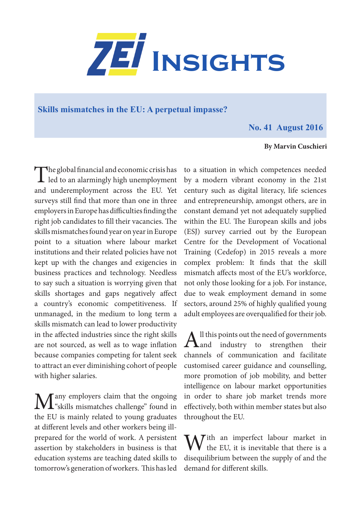

## **Skills mismatches in the EU: A perpetual impasse?**

## **No. 41 August 2016**

## **By Marvin Cuschieri**

The global financial and economic crisis has<br>led to an alarmingly high unemployment and underemployment across the EU. Yet surveys still find that more than one in three employers in Europe has difficulties finding the right job candidates to fill their vacancies. The skills mismatches found year on year in Europe point to a situation where labour market institutions and their related policies have not kept up with the changes and exigencies in business practices and technology. Needless to say such a situation is worrying given that skills shortages and gaps negatively affect a country's economic competitiveness. If unmanaged, in the medium to long term a skills mismatch can lead to lower productivity in the affected industries since the right skills are not sourced, as well as to wage inflation because companies competing for talent seek to attract an ever diminishing cohort of people with higher salaries.

Many employers claim that the ongoing "skills mismatches challenge" found in the EU is mainly related to young graduates at different levels and other workers being illprepared for the world of work. A persistent assertion by stakeholders in business is that education systems are teaching dated skills to tomorrow's generation of workers. This has led

to a situation in which competences needed by a modern vibrant economy in the 21st century such as digital literacy, life sciences and entrepreneurship, amongst others, are in constant demand yet not adequately supplied within the EU. The European skills and jobs (ESJ) survey carried out by the European Centre for the Development of Vocational Training (Cedefop) in 2015 reveals a more complex problem: It finds that the skill mismatch affects most of the EU's workforce, not only those looking for a job. For instance, due to weak employment demand in some sectors, around 25% of highly qualified young adult employees are overqualified for their job.

All this points out the need of governments<br>and industry to strengthen their channels of communication and facilitate customised career guidance and counselling, more promotion of job mobility, and better intelligence on labour market opportunities in order to share job market trends more effectively, both within member states but also throughout the EU.

Mrith an imperfect labour market in the EU, it is inevitable that there is a disequilibrium between the supply of and the demand for different skills.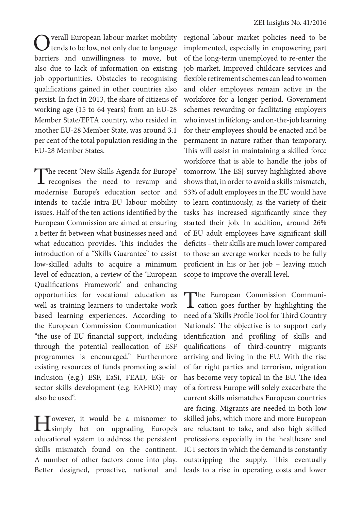Overall European labour market mobility<br>tends to be low, not only due to language barriers and unwillingness to move, but also due to lack of information on existing job opportunities. Obstacles to recognising qualifications gained in other countries also persist. In fact in 2013, the share of citizens of working age (15 to 64 years) from an EU-28 Member State/EFTA country, who resided in another EU-28 Member State, was around 3.1 per cent of the total population residing in the EU-28 Member States.

The recent 'New Skills Agenda for Europe' recognises the need to revamp and modernise Europe's education sector and intends to tackle intra-EU labour mobility issues. Half of the ten actions identified by the European Commission are aimed at ensuring a better fit between what businesses need and what education provides. This includes the introduction of a "Skills Guarantee" to assist low-skilled adults to acquire a minimum level of education, a review of the 'European Qualifications Framework' and enhancing opportunities for vocational education as well as training learners to undertake work based learning experiences. According to the European Commission Communication "the use of EU financial support, including through the potential reallocation of ESF programmes is encouraged." Furthermore existing resources of funds promoting social inclusion (e.g.) ESF, EaSi, FEAD, EGF or sector skills development (e.g. EAFRD) may also be used".

However, it would be a misnomer to<br>
simply bet on upgrading Europe's educational system to address the persistent skills mismatch found on the continent. A number of other factors come into play.

regional labour market policies need to be implemented, especially in empowering part of the long-term unemployed to re-enter the job market. Improved childcare services and flexible retirement schemes can lead to women and older employees remain active in the workforce for a longer period. Government schemes rewarding or facilitating employers who invest in lifelong- and on-the-job learning for their employees should be enacted and be permanent in nature rather than temporary. This will assist in maintaining a skilled force workforce that is able to handle the jobs of tomorrow. The ESJ survey highlighted above shows that, in order to avoid a skills mismatch, 53% of adult employees in the EU would have to learn continuously, as the variety of their tasks has increased significantly since they started their job. In addition, around 26% of EU adult employees have significant skill deficits – their skills are much lower compared to those an average worker needs to be fully proficient in his or her job – leaving much scope to improve the overall level.

Better designed, proactive, national and leads to a rise in operating costs and lower The European Commission Communi-<br>
cation goes further by highlighting the need of a 'Skills Profile Tool for Third Country Nationals'. The objective is to support early identification and profiling of skills and qualifications of third-country migrants arriving and living in the EU. With the rise of far right parties and terrorism, migration has become very topical in the EU. The idea of a fortress Europe will solely exacerbate the current skills mismatches European countries are facing. Migrants are needed in both low skilled jobs, which more and more European are reluctant to take, and also high skilled professions especially in the healthcare and ICT sectors in which the demand is constantly outstripping the supply. This eventually